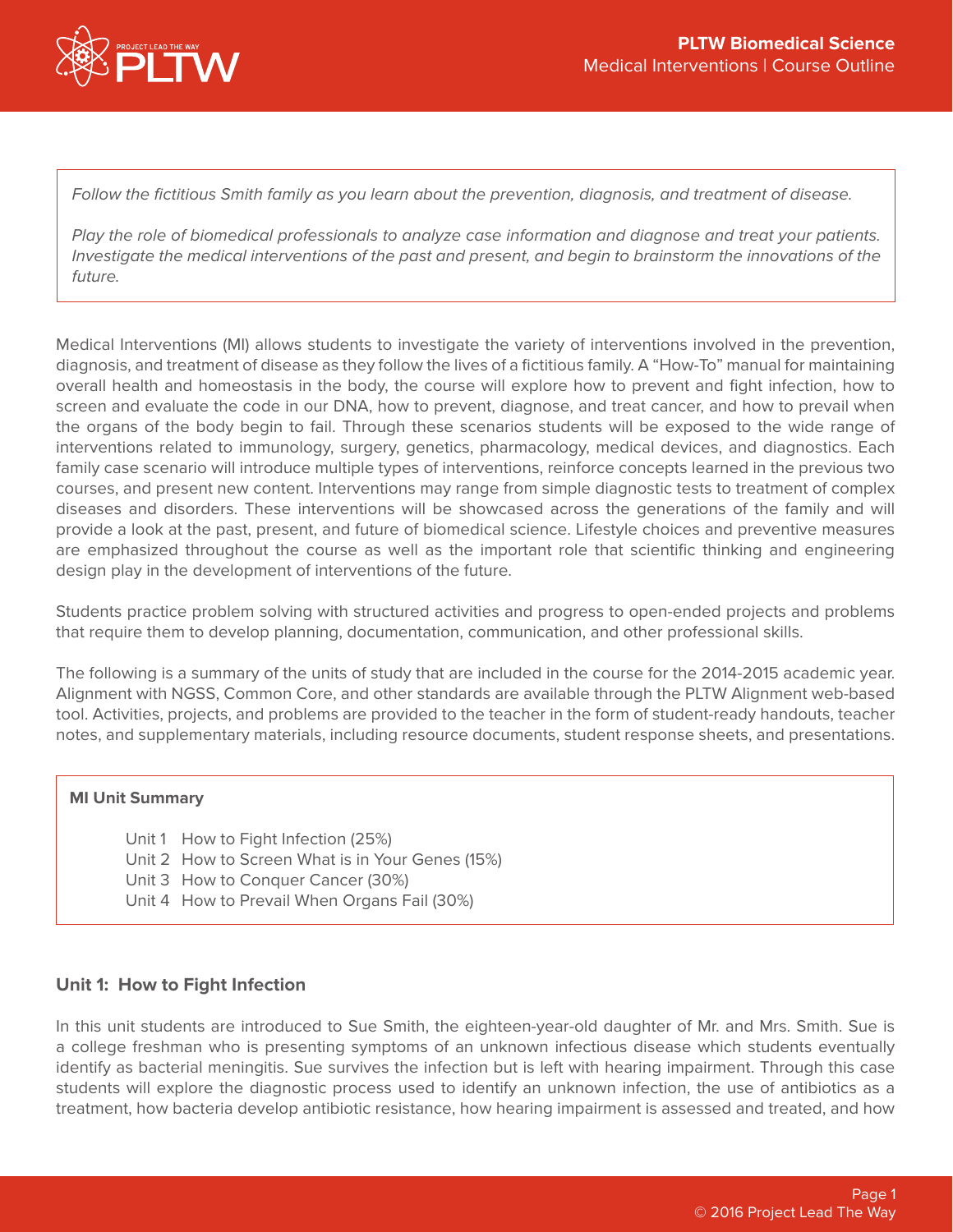

*Follow the fictitious Smith family as you learn about the prevention, diagnosis, and treatment of disease.*

*Play the role of biomedical professionals to analyze case information and diagnose and treat your patients. Investigate the medical interventions of the past and present, and begin to brainstorm the innovations of the future.* 

Medical Interventions (MI) allows students to investigate the variety of interventions involved in the prevention, diagnosis, and treatment of disease as they follow the lives of a fictitious family. A "How-To" manual for maintaining overall health and homeostasis in the body, the course will explore how to prevent and fight infection, how to screen and evaluate the code in our DNA, how to prevent, diagnose, and treat cancer, and how to prevail when the organs of the body begin to fail. Through these scenarios students will be exposed to the wide range of interventions related to immunology, surgery, genetics, pharmacology, medical devices, and diagnostics. Each family case scenario will introduce multiple types of interventions, reinforce concepts learned in the previous two courses, and present new content. Interventions may range from simple diagnostic tests to treatment of complex diseases and disorders. These interventions will be showcased across the generations of the family and will provide a look at the past, present, and future of biomedical science. Lifestyle choices and preventive measures are emphasized throughout the course as well as the important role that scientific thinking and engineering design play in the development of interventions of the future.

Students practice problem solving with structured activities and progress to open-ended projects and problems that require them to develop planning, documentation, communication, and other professional skills.

The following is a summary of the units of study that are included in the course for the 2014-2015 academic year. Alignment with NGSS, Common Core, and other standards are available through the PLTW Alignment web-based tool. Activities, projects, and problems are provided to the teacher in the form of student-ready handouts, teacher notes, and supplementary materials, including resource documents, student response sheets, and presentations.

## **MI Unit Summary**

- Unit 1 How to Fight Infection (25%)
- Unit 2 How to Screen What is in Your Genes (15%)
- Unit 3 How to Conquer Cancer (30%)
- Unit 4 How to Prevail When Organs Fail (30%)

# **Unit 1: How to Fight Infection**

In this unit students are introduced to Sue Smith, the eighteen-year-old daughter of Mr. and Mrs. Smith. Sue is a college freshman who is presenting symptoms of an unknown infectious disease which students eventually identify as bacterial meningitis. Sue survives the infection but is left with hearing impairment. Through this case students will explore the diagnostic process used to identify an unknown infection, the use of antibiotics as a treatment, how bacteria develop antibiotic resistance, how hearing impairment is assessed and treated, and how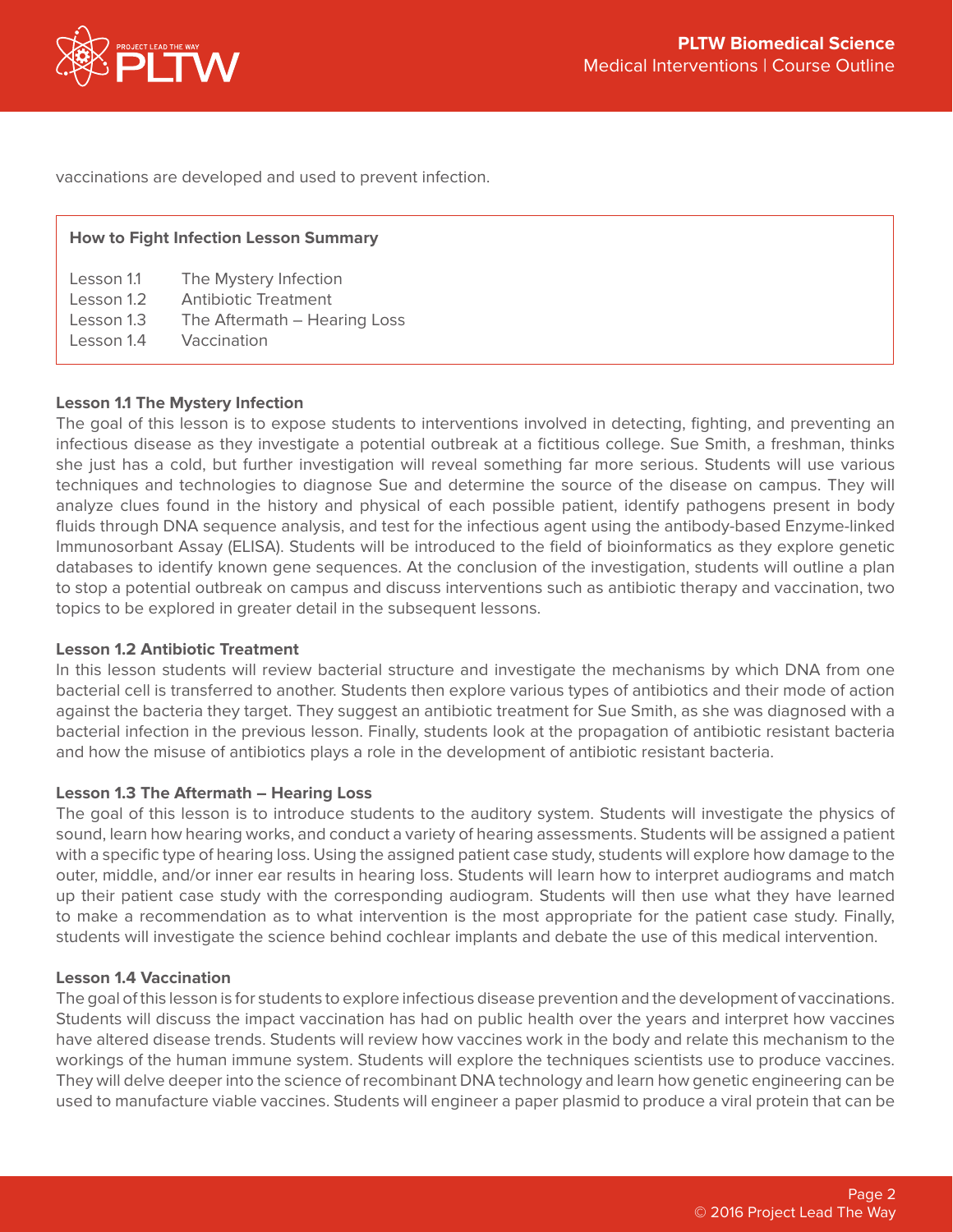

vaccinations are developed and used to prevent infection.

## **How to Fight Infection Lesson Summary**

| Lesson 1.1 | The Mystery Infection        |
|------------|------------------------------|
| Lesson 1.2 | Antibiotic Treatment         |
| Lesson 1.3 | The Aftermath - Hearing Loss |
| Lesson 1.4 | Vaccination                  |

#### **Lesson 1.1 The Mystery Infection**

The goal of this lesson is to expose students to interventions involved in detecting, fighting, and preventing an infectious disease as they investigate a potential outbreak at a fictitious college. Sue Smith, a freshman, thinks she just has a cold, but further investigation will reveal something far more serious. Students will use various techniques and technologies to diagnose Sue and determine the source of the disease on campus. They will analyze clues found in the history and physical of each possible patient, identify pathogens present in body fluids through DNA sequence analysis, and test for the infectious agent using the antibody-based Enzyme-linked Immunosorbant Assay (ELISA). Students will be introduced to the field of bioinformatics as they explore genetic databases to identify known gene sequences. At the conclusion of the investigation, students will outline a plan to stop a potential outbreak on campus and discuss interventions such as antibiotic therapy and vaccination, two topics to be explored in greater detail in the subsequent lessons.

#### **Lesson 1.2 Antibiotic Treatment**

In this lesson students will review bacterial structure and investigate the mechanisms by which DNA from one bacterial cell is transferred to another. Students then explore various types of antibiotics and their mode of action against the bacteria they target. They suggest an antibiotic treatment for Sue Smith, as she was diagnosed with a bacterial infection in the previous lesson. Finally, students look at the propagation of antibiotic resistant bacteria and how the misuse of antibiotics plays a role in the development of antibiotic resistant bacteria.

#### **Lesson 1.3 The Aftermath – Hearing Loss**

The goal of this lesson is to introduce students to the auditory system. Students will investigate the physics of sound, learn how hearing works, and conduct a variety of hearing assessments. Students will be assigned a patient with a specific type of hearing loss. Using the assigned patient case study, students will explore how damage to the outer, middle, and/or inner ear results in hearing loss. Students will learn how to interpret audiograms and match up their patient case study with the corresponding audiogram. Students will then use what they have learned to make a recommendation as to what intervention is the most appropriate for the patient case study. Finally, students will investigate the science behind cochlear implants and debate the use of this medical intervention.

#### **Lesson 1.4 Vaccination**

The goal of this lesson is for students to explore infectious disease prevention and the development of vaccinations. Students will discuss the impact vaccination has had on public health over the years and interpret how vaccines have altered disease trends. Students will review how vaccines work in the body and relate this mechanism to the workings of the human immune system. Students will explore the techniques scientists use to produce vaccines. They will delve deeper into the science of recombinant DNA technology and learn how genetic engineering can be used to manufacture viable vaccines. Students will engineer a paper plasmid to produce a viral protein that can be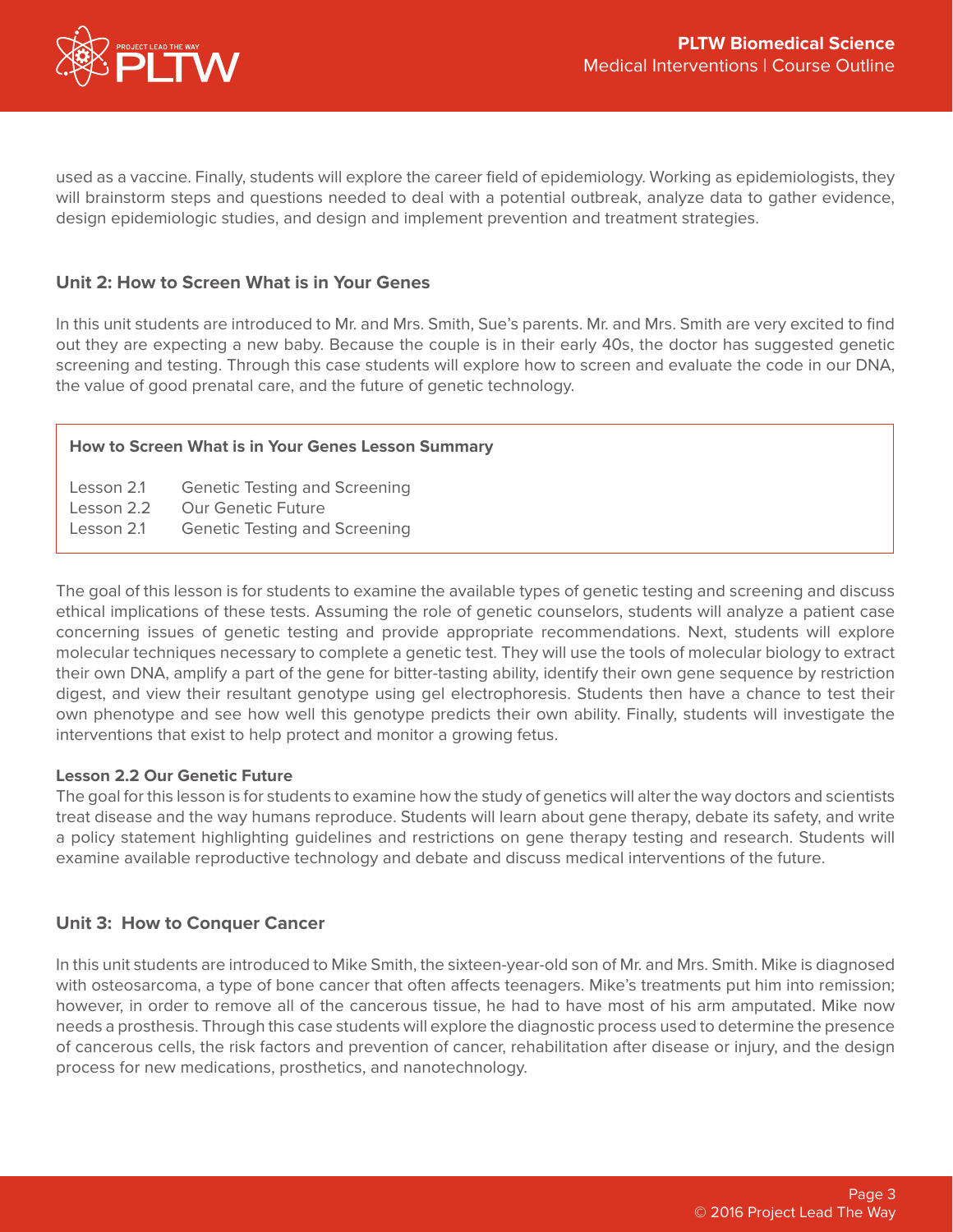used as a vaccine. Finally, students will explore the career field of epidemiology. Working as epidemiologists, they will brainstorm steps and questions needed to deal with a potential outbreak, analyze data to gather evidence, design epidemiologic studies, and design and implement prevention and treatment strategies.

# **Unit 2: How to Screen What is in Your Genes**

In this unit students are introduced to Mr. and Mrs. Smith, Sue's parents. Mr. and Mrs. Smith are very excited to find out they are expecting a new baby. Because the couple is in their early 40s, the doctor has suggested genetic screening and testing. Through this case students will explore how to screen and evaluate the code in our DNA, the value of good prenatal care, and the future of genetic technology.

# **How to Screen What is in Your Genes Lesson Summary**

- Lesson 2.1 Genetic Testing and Screening
- Lesson 2.2 Our Genetic Future
- Lesson 2.1 Genetic Testing and Screening

The goal of this lesson is for students to examine the available types of genetic testing and screening and discuss ethical implications of these tests. Assuming the role of genetic counselors, students will analyze a patient case concerning issues of genetic testing and provide appropriate recommendations. Next, students will explore molecular techniques necessary to complete a genetic test. They will use the tools of molecular biology to extract their own DNA, amplify a part of the gene for bitter-tasting ability, identify their own gene sequence by restriction digest, and view their resultant genotype using gel electrophoresis. Students then have a chance to test their own phenotype and see how well this genotype predicts their own ability. Finally, students will investigate the interventions that exist to help protect and monitor a growing fetus.

## **Lesson 2.2 Our Genetic Future**

The goal for this lesson is for students to examine how the study of genetics will alter the way doctors and scientists treat disease and the way humans reproduce. Students will learn about gene therapy, debate its safety, and write a policy statement highlighting guidelines and restrictions on gene therapy testing and research. Students will examine available reproductive technology and debate and discuss medical interventions of the future.

# **Unit 3: How to Conquer Cancer**

In this unit students are introduced to Mike Smith, the sixteen-year-old son of Mr. and Mrs. Smith. Mike is diagnosed with osteosarcoma, a type of bone cancer that often affects teenagers. Mike's treatments put him into remission; however, in order to remove all of the cancerous tissue, he had to have most of his arm amputated. Mike now needs a prosthesis. Through this case students will explore the diagnostic process used to determine the presence of cancerous cells, the risk factors and prevention of cancer, rehabilitation after disease or injury, and the design process for new medications, prosthetics, and nanotechnology.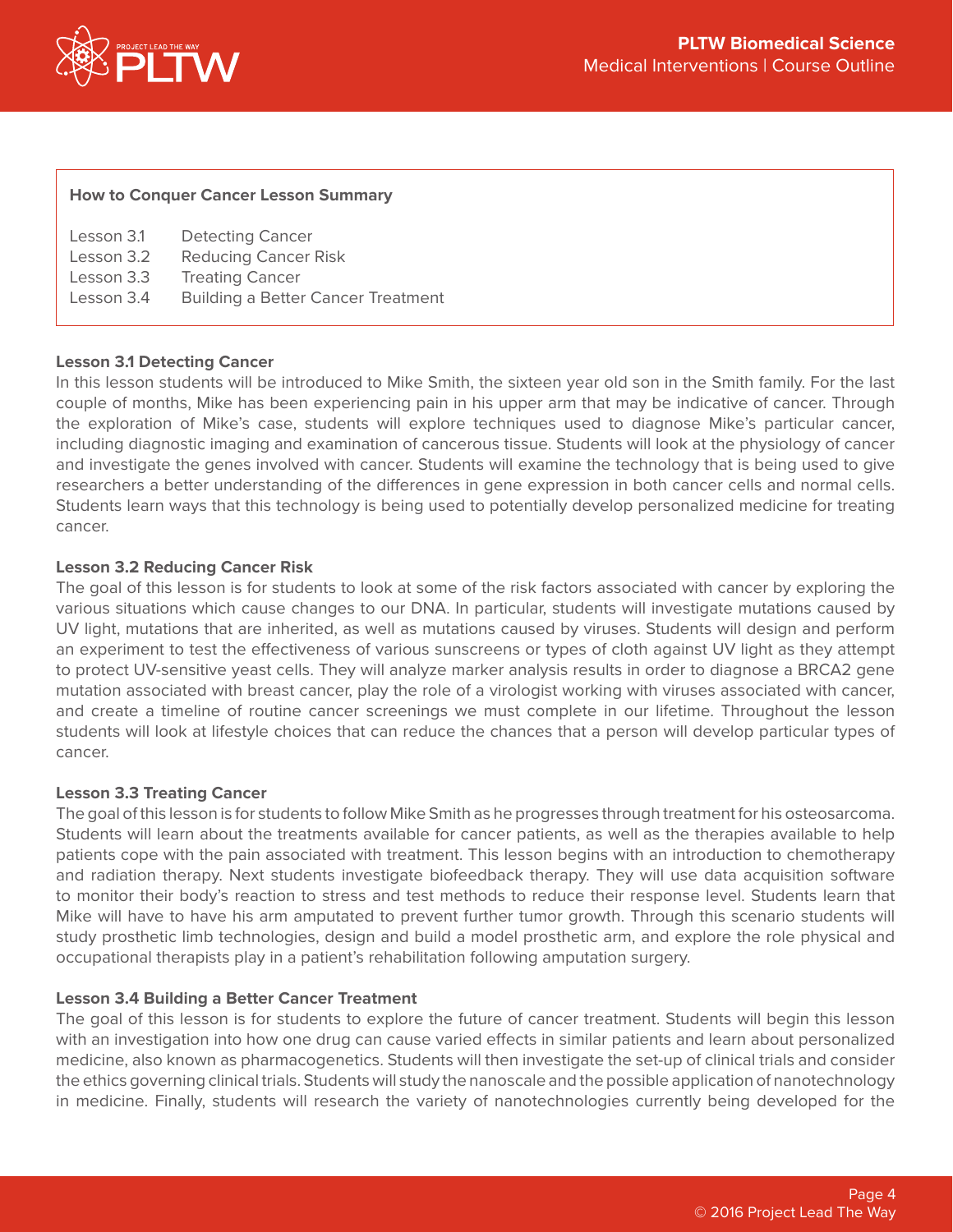

#### **How to Conquer Cancer Lesson Summary**

| Lesson 3.1 | <b>Detecting Cancer</b>     |
|------------|-----------------------------|
| Lesson 3.2 | <b>Reducing Cancer Risk</b> |

- Lesson 3.3 Treating Cancer
- Lesson 3.4 Building a Better Cancer Treatment

#### **Lesson 3.1 Detecting Cancer**

In this lesson students will be introduced to Mike Smith, the sixteen year old son in the Smith family. For the last couple of months, Mike has been experiencing pain in his upper arm that may be indicative of cancer. Through the exploration of Mike's case, students will explore techniques used to diagnose Mike's particular cancer, including diagnostic imaging and examination of cancerous tissue. Students will look at the physiology of cancer and investigate the genes involved with cancer. Students will examine the technology that is being used to give researchers a better understanding of the differences in gene expression in both cancer cells and normal cells. Students learn ways that this technology is being used to potentially develop personalized medicine for treating cancer.

#### **Lesson 3.2 Reducing Cancer Risk**

The goal of this lesson is for students to look at some of the risk factors associated with cancer by exploring the various situations which cause changes to our DNA. In particular, students will investigate mutations caused by UV light, mutations that are inherited, as well as mutations caused by viruses. Students will design and perform an experiment to test the effectiveness of various sunscreens or types of cloth against UV light as they attempt to protect UV-sensitive yeast cells. They will analyze marker analysis results in order to diagnose a BRCA2 gene mutation associated with breast cancer, play the role of a virologist working with viruses associated with cancer, and create a timeline of routine cancer screenings we must complete in our lifetime. Throughout the lesson students will look at lifestyle choices that can reduce the chances that a person will develop particular types of cancer.

#### **Lesson 3.3 Treating Cancer**

The goal of this lesson is for students to follow Mike Smith as he progresses through treatment for his osteosarcoma. Students will learn about the treatments available for cancer patients, as well as the therapies available to help patients cope with the pain associated with treatment. This lesson begins with an introduction to chemotherapy and radiation therapy. Next students investigate biofeedback therapy. They will use data acquisition software to monitor their body's reaction to stress and test methods to reduce their response level. Students learn that Mike will have to have his arm amputated to prevent further tumor growth. Through this scenario students will study prosthetic limb technologies, design and build a model prosthetic arm, and explore the role physical and occupational therapists play in a patient's rehabilitation following amputation surgery.

## **Lesson 3.4 Building a Better Cancer Treatment**

The goal of this lesson is for students to explore the future of cancer treatment. Students will begin this lesson with an investigation into how one drug can cause varied effects in similar patients and learn about personalized medicine, also known as pharmacogenetics. Students will then investigate the set-up of clinical trials and consider the ethics governing clinical trials. Students will study the nanoscale and the possible application of nanotechnology in medicine. Finally, students will research the variety of nanotechnologies currently being developed for the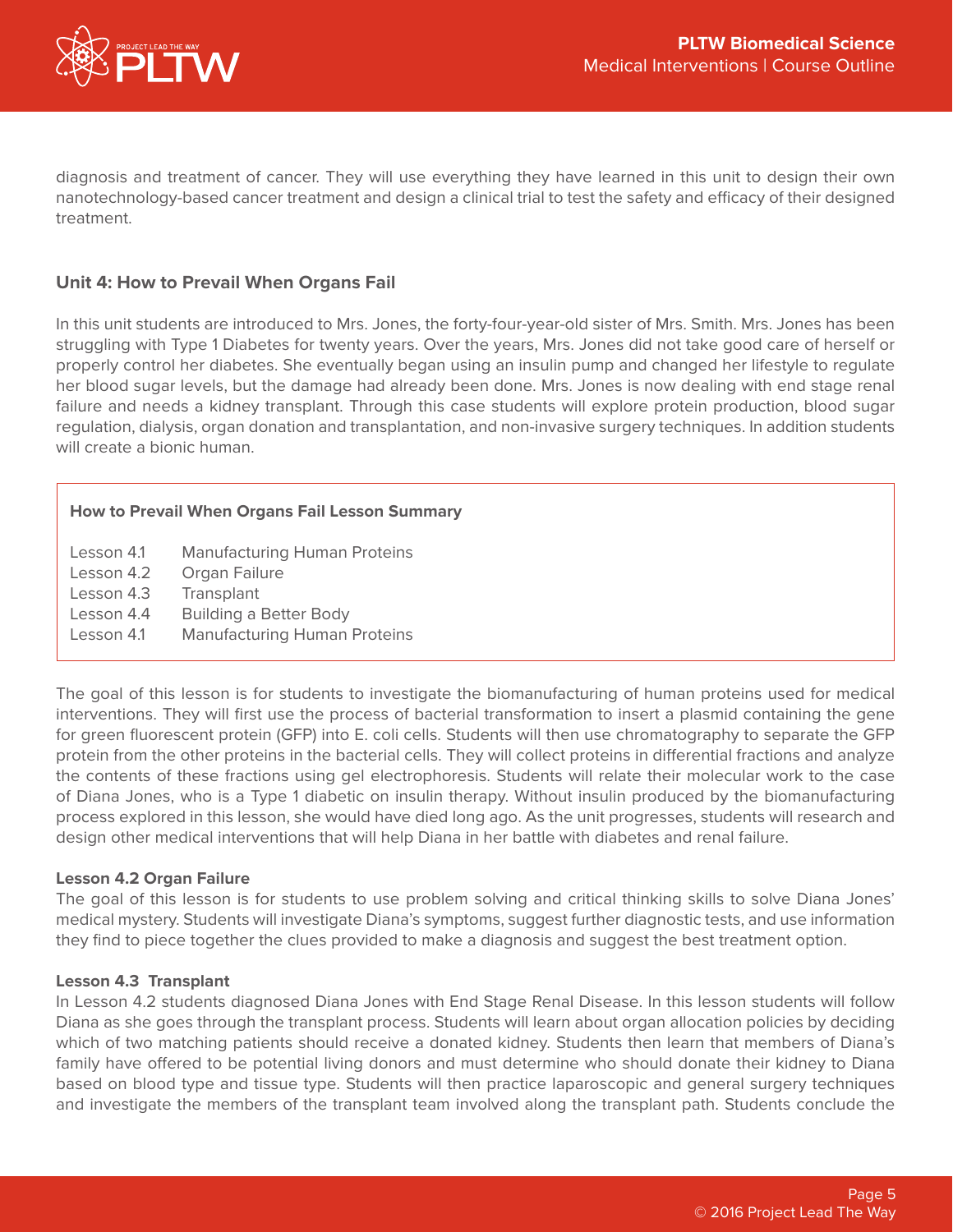

diagnosis and treatment of cancer. They will use everything they have learned in this unit to design their own nanotechnology-based cancer treatment and design a clinical trial to test the safety and efficacy of their designed treatment.

# **Unit 4: How to Prevail When Organs Fail**

In this unit students are introduced to Mrs. Jones, the forty-four-year-old sister of Mrs. Smith. Mrs. Jones has been struggling with Type 1 Diabetes for twenty years. Over the years, Mrs. Jones did not take good care of herself or properly control her diabetes. She eventually began using an insulin pump and changed her lifestyle to regulate her blood sugar levels, but the damage had already been done. Mrs. Jones is now dealing with end stage renal failure and needs a kidney transplant. Through this case students will explore protein production, blood sugar regulation, dialysis, organ donation and transplantation, and non-invasive surgery techniques. In addition students will create a bionic human.

## **How to Prevail When Organs Fail Lesson Summary**

- Lesson 4.1 Manufacturing Human Proteins
- Lesson 4.2 Organ Failure
- Lesson 4.3 Transplant
- Lesson 4.4 Building a Better Body
- Lesson 4.1 Manufacturing Human Proteins

The goal of this lesson is for students to investigate the biomanufacturing of human proteins used for medical interventions. They will first use the process of bacterial transformation to insert a plasmid containing the gene for green fluorescent protein (GFP) into E. coli cells. Students will then use chromatography to separate the GFP protein from the other proteins in the bacterial cells. They will collect proteins in differential fractions and analyze the contents of these fractions using gel electrophoresis. Students will relate their molecular work to the case of Diana Jones, who is a Type 1 diabetic on insulin therapy. Without insulin produced by the biomanufacturing process explored in this lesson, she would have died long ago. As the unit progresses, students will research and design other medical interventions that will help Diana in her battle with diabetes and renal failure.

#### **Lesson 4.2 Organ Failure**

The goal of this lesson is for students to use problem solving and critical thinking skills to solve Diana Jones' medical mystery. Students will investigate Diana's symptoms, suggest further diagnostic tests, and use information they find to piece together the clues provided to make a diagnosis and suggest the best treatment option.

#### **Lesson 4.3 Transplant**

In Lesson 4.2 students diagnosed Diana Jones with End Stage Renal Disease. In this lesson students will follow Diana as she goes through the transplant process. Students will learn about organ allocation policies by deciding which of two matching patients should receive a donated kidney. Students then learn that members of Diana's family have offered to be potential living donors and must determine who should donate their kidney to Diana based on blood type and tissue type. Students will then practice laparoscopic and general surgery techniques and investigate the members of the transplant team involved along the transplant path. Students conclude the